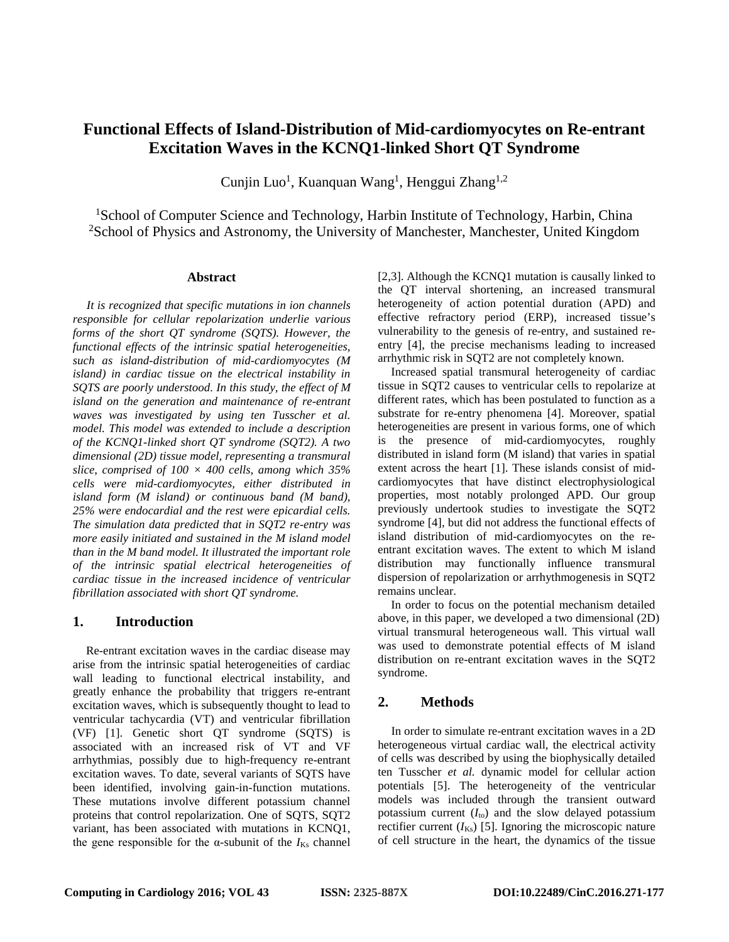# **Functional Effects of Island-Distribution of Mid-cardiomyocytes on Re-entrant Excitation Waves in the KCNQ1-linked Short QT Syndrome**

Cunjin Luo<sup>1</sup>, Kuanquan Wang<sup>1</sup>, Henggui Zhang<sup>1,2</sup>

<sup>1</sup>School of Computer Science and Technology, Harbin Institute of Technology, Harbin, China <sup>2</sup>School of Physics and Astronomy, the University of Manchester, Manchester, United Kingdom

#### **Abstract**

*It is recognized that specific mutations in ion channels responsible for cellular repolarization underlie various forms of the short QT syndrome (SQTS). However, the functional effects of the intrinsic spatial heterogeneities, such as island-distribution of mid-cardiomyocytes (M island) in cardiac tissue on the electrical instability in SQTS are poorly understood. In this study, the effect of M island on the generation and maintenance of re-entrant waves was investigated by using ten Tusscher et al. model. This model was extended to include a description of the KCNQ1-linked short QT syndrome (SQT2). A two dimensional (2D) tissue model, representing a transmural slice, comprised of 100 × 400 cells, among which 35% cells were mid-cardiomyocytes, either distributed in island form (M island) or continuous band (M band), 25% were endocardial and the rest were epicardial cells. The simulation data predicted that in SQT2 re-entry was more easily initiated and sustained in the M island model than in the M band model. It illustrated the important role of the intrinsic spatial electrical heterogeneities of cardiac tissue in the increased incidence of ventricular fibrillation associated with short QT syndrome.*

# **1. Introduction**

Re-entrant excitation waves in the cardiac disease may arise from the intrinsic spatial heterogeneities of cardiac wall leading to functional electrical instability, and greatly enhance the probability that triggers re-entrant excitation waves, which is subsequently thought to lead to ventricular tachycardia (VT) and ventricular fibrillation (VF) [1]. Genetic short QT syndrome (SQTS) is associated with an increased risk of VT and VF arrhythmias, possibly due to high-frequency re-entrant excitation waves. To date, several variants of SQTS have been identified, involving gain-in-function mutations. These mutations involve different potassium channel proteins that control repolarization. One of SQTS, SQT2 variant, has been associated with mutations in KCNQ1, the gene responsible for the  $\alpha$ -subunit of the  $I_{Ks}$  channel

[2,3]. Although the KCNQ1 mutation is causally linked to the QT interval shortening, an increased transmural heterogeneity of action potential duration (APD) and effective refractory period (ERP), increased tissue's vulnerability to the genesis of re-entry, and sustained reentry [4], the precise mechanisms leading to increased arrhythmic risk in SQT2 are not completely known.

Increased spatial transmural heterogeneity of cardiac tissue in SQT2 causes to ventricular cells to repolarize at different rates, which has been postulated to function as a substrate for re-entry phenomena [4]. Moreover, spatial heterogeneities are present in various forms, one of which is the presence of mid-cardiomyocytes, roughly distributed in island form (M island) that varies in spatial extent across the heart [1]. These islands consist of midcardiomyocytes that have distinct electrophysiological properties, most notably prolonged APD. Our group previously undertook studies to investigate the SQT2 syndrome [4], but did not address the functional effects of island distribution of mid-cardiomyocytes on the reentrant excitation waves. The extent to which M island distribution may functionally influence transmural dispersion of repolarization or arrhythmogenesis in SQT2 remains unclear.

In order to focus on the potential mechanism detailed above, in this paper, we developed a two dimensional (2D) virtual transmural heterogeneous wall. This virtual wall was used to demonstrate potential effects of M island distribution on re-entrant excitation waves in the SQT2 syndrome.

# **2. Methods**

In order to simulate re-entrant excitation waves in a 2D heterogeneous virtual cardiac wall, the electrical activity of cells was described by using the biophysically detailed ten Tusscher *et al.* dynamic model for cellular action potentials [5]. The heterogeneity of the ventricular models was included through the transient outward potassium current  $(I_{\text{to}})$  and the slow delayed potassium rectifier current  $(I_{K<sub>s</sub>})$  [5]. Ignoring the microscopic nature of cell structure in the heart, the dynamics of the tissue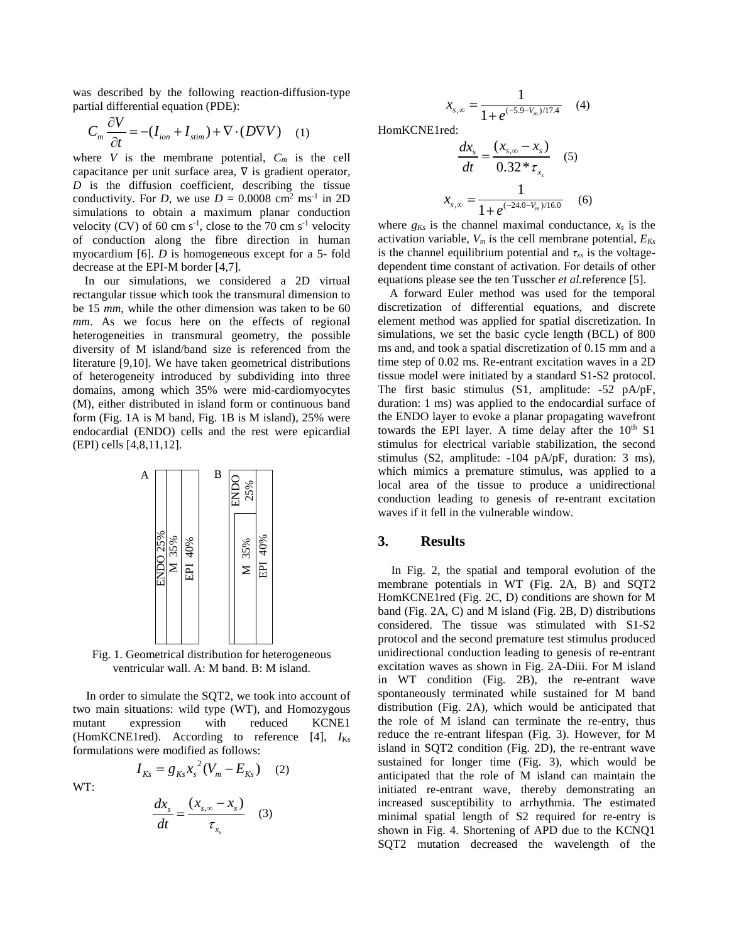was described by the following reaction-diffusion-type partial differential equation (PDE):

$$
C_m \frac{\partial V}{\partial t} = -(I_{ion} + I_{stim}) + \nabla \cdot (D \nabla V) \quad (1)
$$

where  $V$  is the membrane potential,  $C_m$  is the cell capacitance per unit surface area, ∇ is gradient operator, *D* is the diffusion coefficient, describing the tissue conductivity. For *D*, we use  $D = 0.0008$  cm<sup>2</sup> ms<sup>-1</sup> in 2D simulations to obtain a maximum planar conduction velocity (CV) of 60 cm  $s^{-1}$ , close to the 70 cm  $s^{-1}$  velocity of conduction along the fibre direction in human myocardium [6]. *D* is homogeneous except for a 5- fold decrease at the EPI-M border [4,7].

In our simulations, we considered a 2D virtual rectangular tissue which took the transmural dimension to be 15 *mm*, while the other dimension was taken to be 60 *mm*. As we focus here on the effects of regional heterogeneities in transmural geometry, the possible diversity of M island/band size is referenced from the literature [9,10]. We have taken geometrical distributions of heterogeneity introduced by subdividing into three domains, among which 35% were mid-cardiomyocytes (M), either distributed in island form or continuous band form (Fig. 1A is M band, Fig. 1B is M island), 25% were endocardial (ENDO) cells and the rest were epicardial (EPI) cells [4,8,11,12].



Fig. 1. Geometrical distribution for heterogeneous ventricular wall. A: M band. B: M island.

In order to simulate the SQT2, we took into account of two main situations: wild type (WT), and Homozygous mutant expression with reduced KCNE1 (HomKCNE1red). According to reference [4], *I*Ks formulations were modified as follows:

WT:

$$
\frac{dx_s}{dt} = \frac{(x_{s,\infty} - x_s)}{\tau_{x_s}} \quad (3)
$$

 $I_{Ks} = g_{Ks} x_s^2 (V_m - E_{Ks})$  (2)

$$
x_{s,\infty} = \frac{1}{1 + e^{(-5.9 - V_m)/17.4}} \quad (4)
$$

HomKCNE1red:

$$
\frac{dx_s}{dt} = \frac{(x_{s,\infty} - x_s)}{0.32 \cdot \tau_{x_s}} \quad (5)
$$

$$
x_{s,\infty} = \frac{1}{1 + e^{(-24.0 - V_m)/16.0}} \quad (6)
$$

where  $g_{Ks}$  is the channel maximal conductance,  $x_s$  is the activation variable,  $V_m$  is the cell membrane potential,  $E_{Ks}$ is the channel equilibrium potential and  $\tau_{xs}$  is the voltagedependent time constant of activation. For details of other equations please see the ten Tusscher *et al.*reference [5].

A forward Euler method was used for the temporal discretization of differential equations, and discrete element method was applied for spatial discretization. In simulations, we set the basic cycle length (BCL) of 800 ms and, and took a spatial discretization of 0.15 mm and a time step of 0.02 ms. Re-entrant excitation waves in a 2D tissue model were initiated by a standard S1-S2 protocol. The first basic stimulus (S1, amplitude: -52 pA/pF, duration: 1 ms) was applied to the endocardial surface of the ENDO layer to evoke a planar propagating wavefront towards the EPI layer. A time delay after the  $10<sup>th</sup>$  S1 stimulus for electrical variable stabilization, the second stimulus (S2, amplitude: -104 pA/pF, duration: 3 ms), which mimics a premature stimulus, was applied to a local area of the tissue to produce a unidirectional conduction leading to genesis of re-entrant excitation waves if it fell in the vulnerable window.

#### **3. Results**

In Fig. 2, the spatial and temporal evolution of the membrane potentials in WT (Fig. 2A, B) and SQT2 HomKCNE1red (Fig. 2C, D) conditions are shown for M band (Fig. 2A, C) and M island (Fig. 2B, D) distributions considered. The tissue was stimulated with S1-S2 protocol and the second premature test stimulus produced unidirectional conduction leading to genesis of re-entrant excitation waves as shown in Fig. 2A-Diii. For M island in WT condition (Fig. 2B), the re-entrant wave spontaneously terminated while sustained for M band distribution (Fig. 2A), which would be anticipated that the role of M island can terminate the re-entry, thus reduce the re-entrant lifespan (Fig. 3). However, for M island in SQT2 condition (Fig. 2D), the re-entrant wave sustained for longer time (Fig. 3), which would be anticipated that the role of M island can maintain the initiated re-entrant wave, thereby demonstrating an increased susceptibility to arrhythmia. The estimated minimal spatial length of S2 required for re-entry is shown in Fig. 4. Shortening of APD due to the KCNQ1 SQT2 mutation decreased the wavelength of the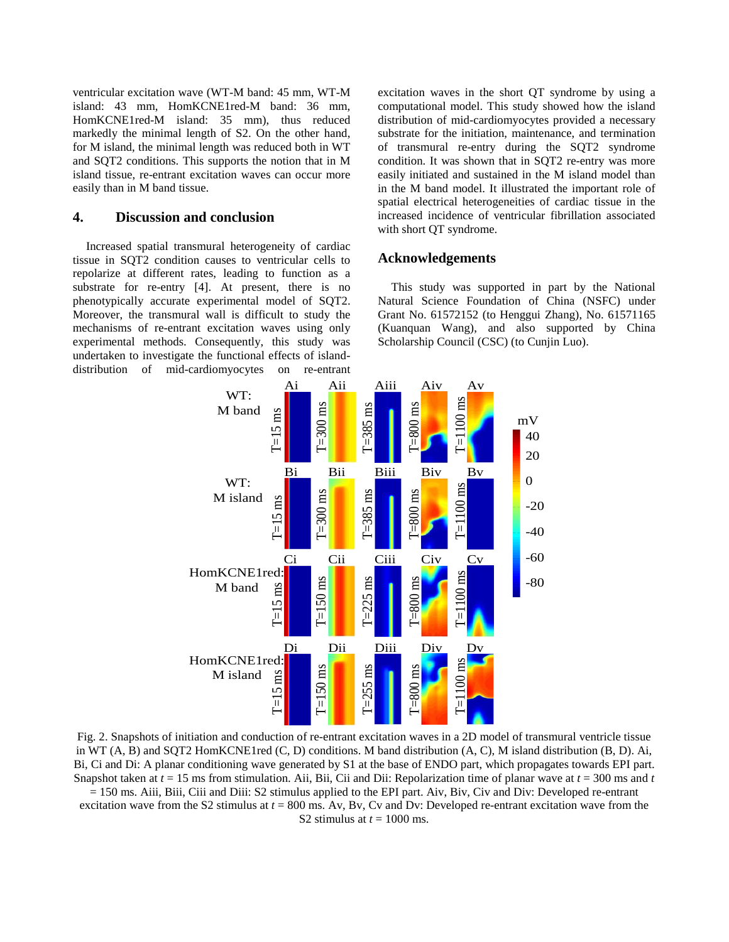ventricular excitation wave (WT-M band: 45 mm, WT-M island: 43 mm, HomKCNE1red-M band: 36 mm, HomKCNE1red-M island: 35 mm), thus reduced markedly the minimal length of S2. On the other hand, for M island, the minimal length was reduced both in WT and SQT2 conditions. This supports the notion that in M island tissue, re-entrant excitation waves can occur more easily than in M band tissue.

# **4. Discussion and conclusion**

Increased spatial transmural heterogeneity of cardiac tissue in SQT2 condition causes to ventricular cells to repolarize at different rates, leading to function as a substrate for re-entry [4]. At present, there is no phenotypically accurate experimental model of SQT2. Moreover, the transmural wall is difficult to study the mechanisms of re-entrant excitation waves using only experimental methods. Consequently, this study was undertaken to investigate the functional effects of islanddistribution of mid-cardiomyocytes on re-entrant

excitation waves in the short QT syndrome by using a computational model. This study showed how the island distribution of mid-cardiomyocytes provided a necessary substrate for the initiation, maintenance, and termination of transmural re-entry during the SQT2 syndrome condition. It was shown that in SQT2 re-entry was more easily initiated and sustained in the M island model than in the M band model. It illustrated the important role of spatial electrical heterogeneities of cardiac tissue in the increased incidence of ventricular fibrillation associated with short QT syndrome.

#### **Acknowledgements**

This study was supported in part by the National Natural Science Foundation of China (NSFC) under Grant No. 61572152 (to Henggui Zhang), No. 61571165 (Kuanquan Wang), and also supported by China Scholarship Council (CSC) (to Cunjin Luo).



Fig. 2. Snapshots of initiation and conduction of re-entrant excitation waves in a 2D model of transmural ventricle tissue in WT (A, B) and SQT2 HomKCNE1red (C, D) conditions. M band distribution (A, C), M island distribution (B, D). Ai, Bi, Ci and Di: A planar conditioning wave generated by S1 at the base of ENDO part, which propagates towards EPI part. Snapshot taken at *t* = 15 ms from stimulation. Aii, Bii, Cii and Dii: Repolarization time of planar wave at *t* = 300 ms and *t*

= 150 ms. Aiii, Biii, Ciii and Diii: S2 stimulus applied to the EPI part. Aiv, Biv, Civ and Div: Developed re-entrant excitation wave from the S2 stimulus at *t* = 800 ms. Av, Bv, Cv and Dv: Developed re-entrant excitation wave from the

S2 stimulus at  $t = 1000$  ms.